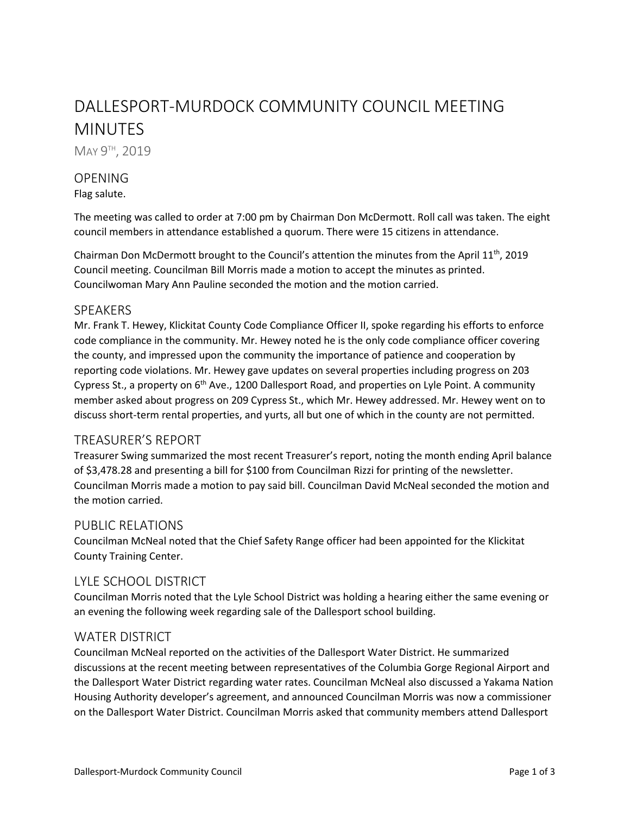# DALLESPORT-MURDOCK COMMUNITY COUNCIL MEETING MINUTES

MAY 9<sup>TH</sup>, 2019

# OPENING

Flag salute.

The meeting was called to order at 7:00 pm by Chairman Don McDermott. Roll call was taken. The eight council members in attendance established a quorum. There were 15 citizens in attendance.

Chairman Don McDermott brought to the Council's attention the minutes from the April  $11<sup>th</sup>$ , 2019 Council meeting. Councilman Bill Morris made a motion to accept the minutes as printed. Councilwoman Mary Ann Pauline seconded the motion and the motion carried.

#### SPEAKERS

Mr. Frank T. Hewey, Klickitat County Code Compliance Officer II, spoke regarding his efforts to enforce code compliance in the community. Mr. Hewey noted he is the only code compliance officer covering the county, and impressed upon the community the importance of patience and cooperation by reporting code violations. Mr. Hewey gave updates on several properties including progress on 203 Cypress St., a property on 6<sup>th</sup> Ave., 1200 Dallesport Road, and properties on Lyle Point. A community member asked about progress on 209 Cypress St., which Mr. Hewey addressed. Mr. Hewey went on to discuss short-term rental properties, and yurts, all but one of which in the county are not permitted.

# TREASURER'S REPORT

Treasurer Swing summarized the most recent Treasurer's report, noting the month ending April balance of \$3,478.28 and presenting a bill for \$100 from Councilman Rizzi for printing of the newsletter. Councilman Morris made a motion to pay said bill. Councilman David McNeal seconded the motion and the motion carried.

#### PUBLIC RELATIONS

Councilman McNeal noted that the Chief Safety Range officer had been appointed for the Klickitat County Training Center.

# LYLE SCHOOL DISTRICT

Councilman Morris noted that the Lyle School District was holding a hearing either the same evening or an evening the following week regarding sale of the Dallesport school building.

# WATER DISTRICT

Councilman McNeal reported on the activities of the Dallesport Water District. He summarized discussions at the recent meeting between representatives of the Columbia Gorge Regional Airport and the Dallesport Water District regarding water rates. Councilman McNeal also discussed a Yakama Nation Housing Authority developer's agreement, and announced Councilman Morris was now a commissioner on the Dallesport Water District. Councilman Morris asked that community members attend Dallesport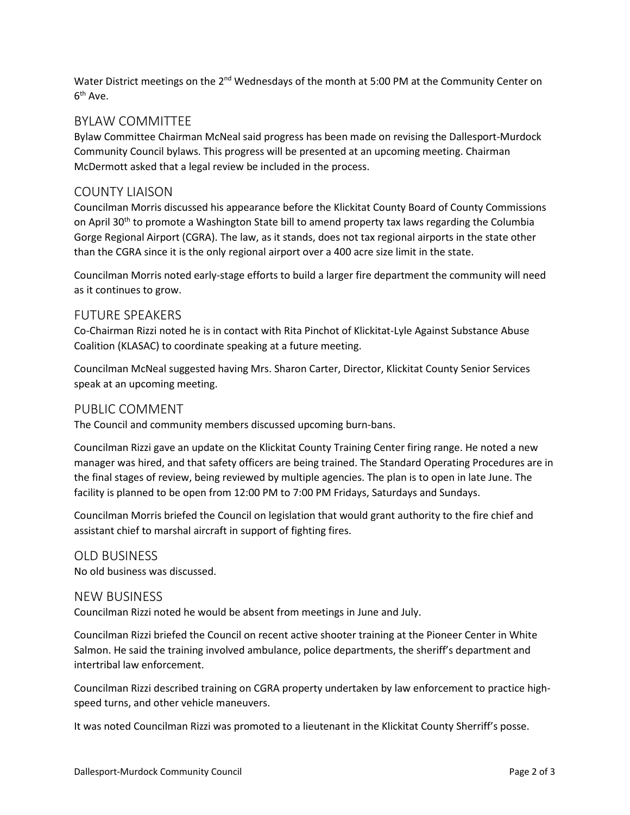Water District meetings on the  $2^{nd}$  Wednesdays of the month at 5:00 PM at the Community Center on  $6<sup>th</sup>$  Ave.

# BYLAW COMMITTEE

Bylaw Committee Chairman McNeal said progress has been made on revising the Dallesport-Murdock Community Council bylaws. This progress will be presented at an upcoming meeting. Chairman McDermott asked that a legal review be included in the process.

#### COUNTY LIAISON

Councilman Morris discussed his appearance before the Klickitat County Board of County Commissions on April 30<sup>th</sup> to promote a Washington State bill to amend property tax laws regarding the Columbia Gorge Regional Airport (CGRA). The law, as it stands, does not tax regional airports in the state other than the CGRA since it is the only regional airport over a 400 acre size limit in the state.

Councilman Morris noted early-stage efforts to build a larger fire department the community will need as it continues to grow.

#### FUTURE SPEAKERS

Co-Chairman Rizzi noted he is in contact with Rita Pinchot of Klickitat-Lyle Against Substance Abuse Coalition (KLASAC) to coordinate speaking at a future meeting.

Councilman McNeal suggested having Mrs. Sharon Carter, Director, Klickitat County Senior Services speak at an upcoming meeting.

#### PUBLIC COMMENT

The Council and community members discussed upcoming burn-bans.

Councilman Rizzi gave an update on the Klickitat County Training Center firing range. He noted a new manager was hired, and that safety officers are being trained. The Standard Operating Procedures are in the final stages of review, being reviewed by multiple agencies. The plan is to open in late June. The facility is planned to be open from 12:00 PM to 7:00 PM Fridays, Saturdays and Sundays.

Councilman Morris briefed the Council on legislation that would grant authority to the fire chief and assistant chief to marshal aircraft in support of fighting fires.

# OLD BUSINESS

No old business was discussed.

#### NEW BUSINESS

Councilman Rizzi noted he would be absent from meetings in June and July.

Councilman Rizzi briefed the Council on recent active shooter training at the Pioneer Center in White Salmon. He said the training involved ambulance, police departments, the sheriff's department and intertribal law enforcement.

Councilman Rizzi described training on CGRA property undertaken by law enforcement to practice highspeed turns, and other vehicle maneuvers.

It was noted Councilman Rizzi was promoted to a lieutenant in the Klickitat County Sherriff's posse.